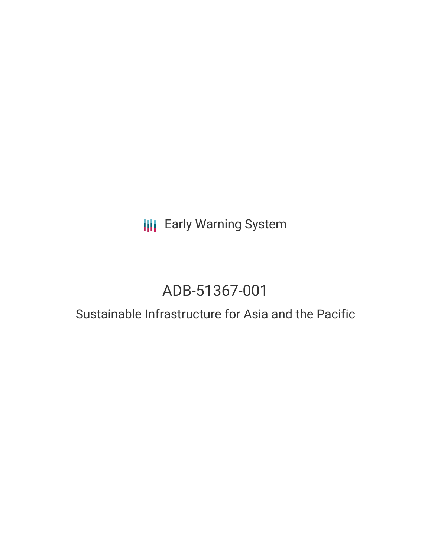**III** Early Warning System

# ADB-51367-001

# Sustainable Infrastructure for Asia and the Pacific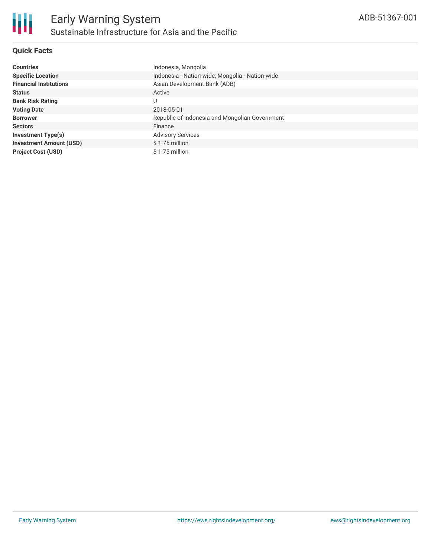

# **Quick Facts**

| <b>Countries</b>               | Indonesia, Mongolia                             |
|--------------------------------|-------------------------------------------------|
| <b>Specific Location</b>       | Indonesia - Nation-wide; Mongolia - Nation-wide |
| <b>Financial Institutions</b>  | Asian Development Bank (ADB)                    |
| <b>Status</b>                  | Active                                          |
| <b>Bank Risk Rating</b>        | U                                               |
| <b>Voting Date</b>             | 2018-05-01                                      |
| <b>Borrower</b>                | Republic of Indonesia and Mongolian Government  |
| <b>Sectors</b>                 | Finance                                         |
| <b>Investment Type(s)</b>      | <b>Advisory Services</b>                        |
| <b>Investment Amount (USD)</b> | $$1.75$ million                                 |
| <b>Project Cost (USD)</b>      | \$1.75 million                                  |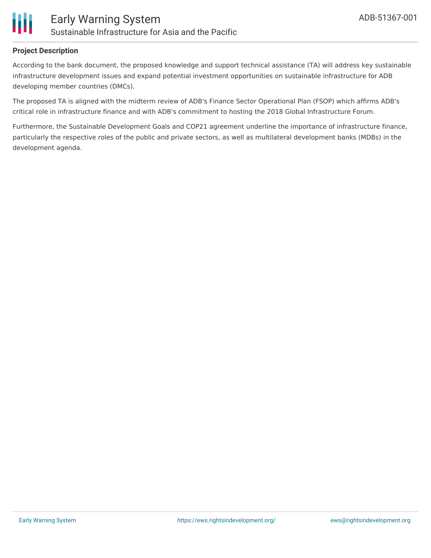

## **Project Description**

According to the bank document, the proposed knowledge and support technical assistance (TA) will address key sustainable infrastructure development issues and expand potential investment opportunities on sustainable infrastructure for ADB developing member countries (DMCs).

The proposed TA is aligned with the midterm review of ADB's Finance Sector Operational Plan (FSOP) which affirms ADB's critical role in infrastructure finance and with ADB's commitment to hosting the 2018 Global Infrastructure Forum.

Furthermore, the Sustainable Development Goals and COP21 agreement underline the importance of infrastructure finance, particularly the respective roles of the public and private sectors, as well as multilateral development banks (MDBs) in the development agenda.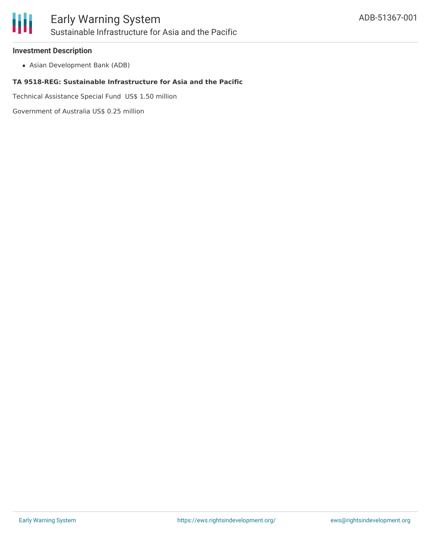

## **Investment Description**

Asian Development Bank (ADB)

#### **TA 9518-REG: Sustainable Infrastructure for Asia and the Pacific**

Technical Assistance Special Fund US\$ 1.50 million

Government of Australia US\$ 0.25 million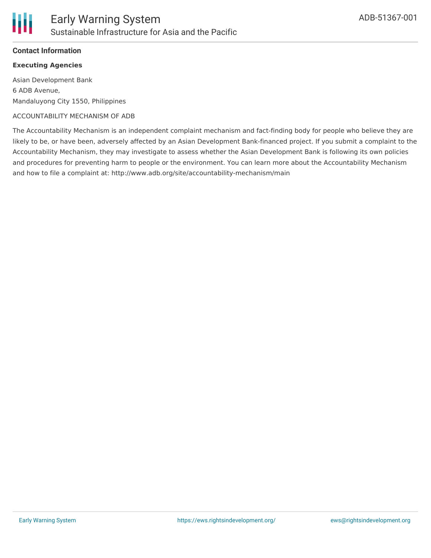# **Contact Information**

# **Executing Agencies**

Asian Development Bank 6 ADB Avenue, Mandaluyong City 1550, Philippines

#### ACCOUNTABILITY MECHANISM OF ADB

The Accountability Mechanism is an independent complaint mechanism and fact-finding body for people who believe they are likely to be, or have been, adversely affected by an Asian Development Bank-financed project. If you submit a complaint to the Accountability Mechanism, they may investigate to assess whether the Asian Development Bank is following its own policies and procedures for preventing harm to people or the environment. You can learn more about the Accountability Mechanism and how to file a complaint at: http://www.adb.org/site/accountability-mechanism/main